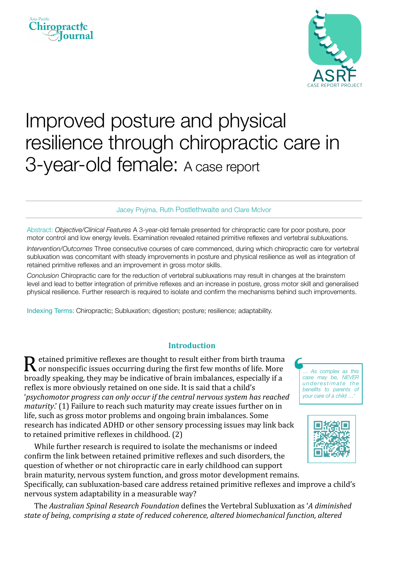



# Improved posture and physical resilience through chiropractic care in 3-year-old female: A case report

Jacey Pryjma, Ruth Postlethwaite and Clare McIvor

Abstract: *Objective/Clinical Features* A 3-year-old female presented for chiropractic care for poor posture, poor motor control and low energy levels. Examination revealed retained primitive reflexes and vertebral subluxations.

*Intervention/Outcomes* Three consecutive courses of care commenced, during which chiropractic care for vertebral subluxation was concomitant with steady improvements in posture and physical resilience as well as integration of retained primitive reflexes and an improvement in gross motor skills.

*Conclusion* Chiropractic care for the reduction of vertebral subluxations may result in changes at the brainstem level and lead to better integration of primitive reflexes and an increase in posture, gross motor skill and generalised physical resilience. Further research is required to isolate and confirm the mechanisms behind such improvements.

Indexing Terms: Chiropractic; Subluxation; digestion; posture; resilience; adaptability.

## **Introduction**

 ${\bf R}$  etained primitive reflexes are thought to result either from birth trauma<br>or nonspecific issues occurring during the first few months of life. More broadly speaking, they may be indicative of brain imbalances, especially if a reflex is more obviously retained on one side. It is said that a child's 'psychomotor progress can only occur if the central nervous system has reached *maturity*.' (1) Failure to reach such maturity may create issues further on in life, such as gross motor problems and ongoing brain imbalances. Some research has indicated ADHD or other sensory processing issues may link back to retained primitive reflexes in childhood. (2)

While further research is required to isolate the mechanisms or indeed confirm the link between retained primitive reflexes and such disorders, the question of whether or not chiropractic care in early childhood can support brain maturity, nervous system function, and gross motor development remains.

Specifically, can subluxation-based care address retained primitive reflexes and improve a child's nervous system adaptability in a measurable way?

The *Australian Spinal Research Foundation* defines the Vertebral Subluxation as 'A diminished state of being, comprising a state of reduced coherence, altered biomechanical function, altered

*… As complex as this case may be, NEVER underestimate the benefits to parents of your care of a child …'*

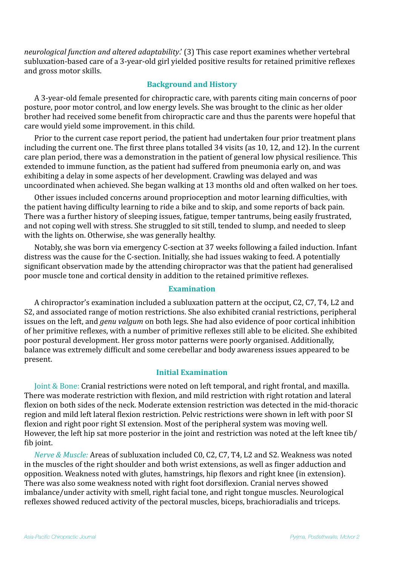*neurological function and altered adaptability*.' (3) This case report examines whether vertebral subluxation-based care of a 3-year-old girl yielded positive results for retained primitive reflexes and gross motor skills.

# **Background and History**

A 3-year-old female presented for chiropractic care, with parents citing main concerns of poor posture, poor motor control, and low energy levels. She was brought to the clinic as her older brother had received some benefit from chiropractic care and thus the parents were hopeful that care would yield some improvement. in this child.

Prior to the current case report period, the patient had undertaken four prior treatment plans including the current one. The first three plans totalled 34 visits (as 10, 12, and 12). In the current care plan period, there was a demonstration in the patient of general low physical resilience. This extended to immune function, as the patient had suffered from pneumonia early on, and was exhibiting a delay in some aspects of her development. Crawling was delayed and was uncoordinated when achieved. She began walking at 13 months old and often walked on her toes.

Other issues included concerns around proprioception and motor learning difficulties, with the patient having difficulty learning to ride a bike and to skip, and some reports of back pain. There was a further history of sleeping issues, fatigue, temper tantrums, being easily frustrated, and not coping well with stress. She struggled to sit still, tended to slump, and needed to sleep with the lights on. Otherwise, she was generally healthy.

Notably, she was born via emergency C-section at 37 weeks following a failed induction. Infant distress was the cause for the C-section. Initially, she had issues waking to feed. A potentially significant observation made by the attending chiropractor was that the patient had generalised poor muscle tone and cortical density in addition to the retained primitive reflexes.

## **Examination**

A chiropractor's examination included a subluxation pattern at the occiput, C2, C7, T4, L2 and S2, and associated range of motion restrictions. She also exhibited cranial restrictions, peripheral issues on the left, and *genu valgum* on both legs. She had also evidence of poor cortical inhibition of her primitive reflexes, with a number of primitive reflexes still able to be elicited. She exhibited poor postural development. Her gross motor patterns were poorly organised. Additionally, balance was extremely difficult and some cerebellar and body awareness issues appeared to be present.

# **Initial Examination**

Joint & Bone: Cranial restrictions were noted on left temporal, and right frontal, and maxilla. There was moderate restriction with flexion, and mild restriction with right rotation and lateral flexion on both sides of the neck. Moderate extension restriction was detected in the mid-thoracic region and mild left lateral flexion restriction. Pelvic restrictions were shown in left with poor SI flexion and right poor right SI extension. Most of the peripheral system was moving well. However, the left hip sat more posterior in the joint and restriction was noted at the left knee tib/ fib joint.

*Nerve & Muscle:* Areas of subluxation included C0, C2, C7, T4, L2 and S2. Weakness was noted in the muscles of the right shoulder and both wrist extensions, as well as finger adduction and opposition. Weakness noted with glutes, hamstrings, hip flexors and right knee (in extension). There was also some weakness noted with right foot dorsiflexion. Cranial nerves showed imbalance/under activity with smell, right facial tone, and right tongue muscles. Neurological reflexes showed reduced activity of the pectoral muscles, biceps, brachioradialis and triceps.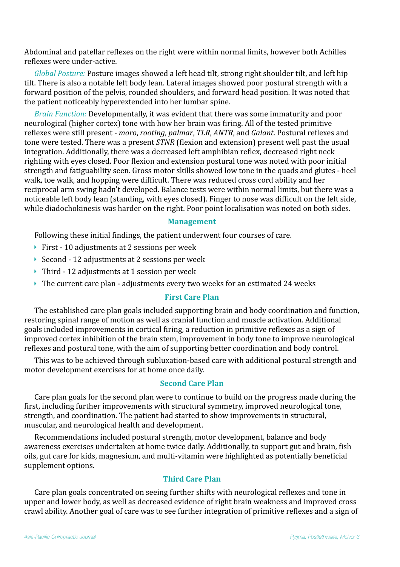Abdominal and patellar reflexes on the right were within normal limits, however both Achilles reflexes were under-active.

*Global Posture:* Posture images showed a left head tilt, strong right shoulder tilt, and left hip tilt. There is also a notable left body lean. Lateral images showed poor postural strength with a forward position of the pelvis, rounded shoulders, and forward head position. It was noted that the patient noticeably hyperextended into her lumbar spine.

*Brain Function:* Developmentally, it was evident that there was some immaturity and poor neurological (higher cortex) tone with how her brain was firing. All of the tested primitive reflexes were still present - *moro*, *rooting*, *palmar*, *TLR*, *ANTR*, and *Galant*. Postural reflexes and tone were tested. There was a present *STNR* (flexion and extension) present well past the usual integration. Additionally, there was a decreased left amphibian reflex, decreased right neck righting with eyes closed. Poor flexion and extension postural tone was noted with poor initial strength and fatiguability seen. Gross motor skills showed low tone in the quads and glutes - heel walk, toe walk, and hopping were difficult. There was reduced cross cord ability and her reciprocal arm swing hadn't developed. Balance tests were within normal limits, but there was a noticeable left body lean (standing, with eyes closed). Finger to nose was difficult on the left side, while diadochokinesis was harder on the right. Poor point localisation was noted on both sides.

#### **Management**

Following these initial findings, the patient underwent four courses of care.

- $\triangleright$  First 10 adjustments at 2 sessions per week
- $\triangleright$  Second 12 adjustments at 2 sessions per week
- $\triangleright$  Third 12 adjustments at 1 session per week
- $\triangleright$  The current care plan adjustments every two weeks for an estimated 24 weeks

#### **First Care Plan**

The established care plan goals included supporting brain and body coordination and function, restoring spinal range of motion as well as cranial function and muscle activation. Additional goals included improvements in cortical firing, a reduction in primitive reflexes as a sign of improved cortex inhibition of the brain stem, improvement in body tone to improve neurological reflexes and postural tone, with the aim of supporting better coordination and body control.

This was to be achieved through subluxation-based care with additional postural strength and motor development exercises for at home once daily.

#### **Second Care Plan**

Care plan goals for the second plan were to continue to build on the progress made during the first, including further improvements with structural symmetry, improved neurological tone, strength, and coordination. The patient had started to show improvements in structural, muscular, and neurological health and development.

Recommendations included postural strength, motor development, balance and body awareness exercises undertaken at home twice daily. Additionally, to support gut and brain, fish oils, gut care for kids, magnesium, and multi-vitamin were highlighted as potentially beneficial supplement options.

# **Third Care Plan**

Care plan goals concentrated on seeing further shifts with neurological reflexes and tone in upper and lower body, as well as decreased evidence of right brain weakness and improved cross crawl ability. Another goal of care was to see further integration of primitive reflexes and a sign of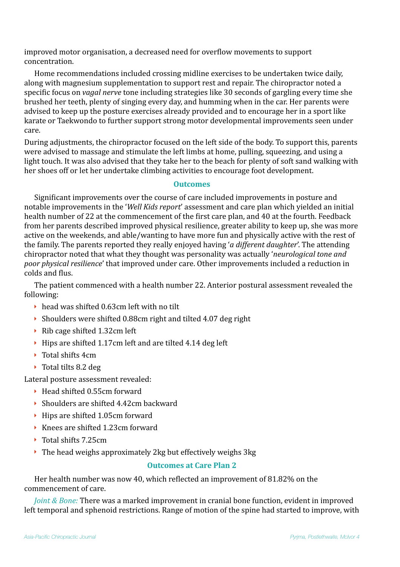improved motor organisation, a decreased need for overflow movements to support concentration.

Home recommendations included crossing midline exercises to be undertaken twice daily, along with magnesium supplementation to support rest and repair. The chiropractor noted a specific focus on *vagal nerve* tone including strategies like 30 seconds of gargling every time she brushed her teeth, plenty of singing every day, and humming when in the car. Her parents were advised to keep up the posture exercises already provided and to encourage her in a sport like karate or Taekwondo to further support strong motor developmental improvements seen under care.

During adjustments, the chiropractor focused on the left side of the body. To support this, parents were advised to massage and stimulate the left limbs at home, pulling, squeezing, and using a light touch. It was also advised that they take her to the beach for plenty of soft sand walking with her shoes off or let her undertake climbing activities to encourage foot development.

## **Outcomes**

Significant improvements over the course of care included improvements in posture and notable improvements in the '*Well Kids report'* assessment and care plan which yielded an initial health number of 22 at the commencement of the first care plan, and 40 at the fourth. Feedback from her parents described improved physical resilience, greater ability to keep up, she was more active on the weekends, and able/wanting to have more fun and physically active with the rest of the family. The parents reported they really enjoyed having '*a different daughter*'. The attending chiropractor noted that what they thought was personality was actually 'neurological tone and *poor physical resilience*' that improved under care. Other improvements included a reduction in colds and flus.

The patient commenced with a health number 22. Anterior postural assessment revealed the following:

- $\rightarrow$  head was shifted 0.63cm left with no tilt
- $\triangleright$  Shoulders were shifted 0.88cm right and tilted 4.07 deg right
- $\triangleright$  Rib cage shifted 1.32cm left
- $\rightarrow$  Hips are shifted 1.17cm left and are tilted 4.14 deg left
- ▶ Total shifts 4cm
- $\triangleright$  Total tilts 8.2 deg

Lateral posture assessment revealed:

- $\blacktriangleright$  Head shifted 0.55cm forward
- $\rightarrow$  Shoulders are shifted 4.42cm backward
- $\rightarrow$  Hips are shifted 1.05cm forward
- $\triangleright$  Knees are shifted 1.23cm forward
- $\triangleright$  Total shifts 7.25cm
- $\triangleright$  The head weighs approximately 2kg but effectively weighs 3kg

# **Outcomes at Care Plan 2**

Her health number was now 40, which reflected an improvement of 81.82% on the commencement of care.

*Joint & Bone:* There was a marked improvement in cranial bone function, evident in improved left temporal and sphenoid restrictions. Range of motion of the spine had started to improve, with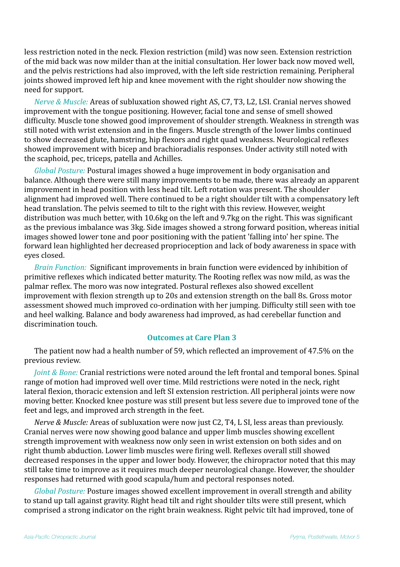less restriction noted in the neck. Flexion restriction (mild) was now seen. Extension restriction of the mid back was now milder than at the initial consultation. Her lower back now moved well, and the pelvis restrictions had also improved, with the left side restriction remaining. Peripheral joints showed improved left hip and knee movement with the right shoulder now showing the need for support.

*Nerve & Muscle:* Areas of subluxation showed right AS, C7, T3, L2, LSI. Cranial nerves showed improvement with the tongue positioning. However, facial tone and sense of smell showed difficulty. Muscle tone showed good improvement of shoulder strength. Weakness in strength was still noted with wrist extension and in the fingers. Muscle strength of the lower limbs continued to show decreased glute, hamstring, hip flexors and right quad weakness. Neurological reflexes showed improvement with bicep and brachioradialis responses. Under activity still noted with the scaphoid, pec, triceps, patella and Achilles.

*Global Posture:* Postural images showed a huge improvement in body organisation and balance. Although there were still many improvements to be made, there was already an apparent improvement in head position with less head tilt. Left rotation was present. The shoulder alignment had improved well. There continued to be a right shoulder tilt with a compensatory left head translation. The pelvis seemed to tilt to the right with this review. However, weight distribution was much better, with 10.6kg on the left and 9.7kg on the right. This was significant as the previous imbalance was 3kg. Side images showed a strong forward position, whereas initial images showed lower tone and poor positioning with the patient 'falling into' her spine. The forward lean highlighted her decreased proprioception and lack of body awareness in space with eyes closed.

*Brain Function:* Significant improvements in brain function were evidenced by inhibition of primitive reflexes which indicated better maturity. The Rooting reflex was now mild, as was the palmar reflex. The moro was now integrated. Postural reflexes also showed excellent improvement with flexion strength up to 20s and extension strength on the ball 8s. Gross motor assessment showed much improved co-ordination with her jumping. Difficulty still seen with toe and heel walking. Balance and body awareness had improved, as had cerebellar function and discrimination touch

# **Outcomes at Care Plan 3**

The patient now had a health number of 59, which reflected an improvement of 47.5% on the previous review.

*Joint & Bone:* Cranial restrictions were noted around the left frontal and temporal bones. Spinal range of motion had improved well over time. Mild restrictions were noted in the neck, right lateral flexion, thoracic extension and left SI extension restriction. All peripheral joints were now moving better. Knocked knee posture was still present but less severe due to improved tone of the feet and legs, and improved arch strength in the feet.

*Nerve & Muscle:* Areas of subluxation were now just C2, T4, L SI, less areas than previously. Cranial nerves were now showing good balance and upper limb muscles showing excellent strength improvement with weakness now only seen in wrist extension on both sides and on right thumb abduction. Lower limb muscles were firing well. Reflexes overall still showed decreased responses in the upper and lower body. However, the chiropractor noted that this may still take time to improve as it requires much deeper neurological change. However, the shoulder responses had returned with good scapula/hum and pectoral responses noted.

*Global Posture:* Posture images showed excellent improvement in overall strength and ability to stand up tall against gravity. Right head tilt and right shoulder tilts were still present, which comprised a strong indicator on the right brain weakness. Right pelvic tilt had improved, tone of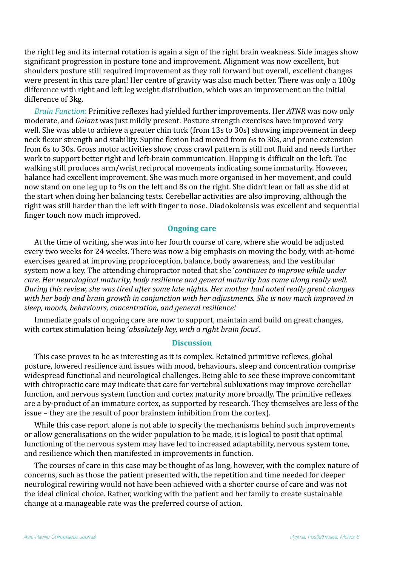the right leg and its internal rotation is again a sign of the right brain weakness. Side images show significant progression in posture tone and improvement. Alignment was now excellent, but shoulders posture still required improvement as they roll forward but overall, excellent changes were present in this care plan! Her centre of gravity was also much better. There was only a 100g difference with right and left leg weight distribution, which was an improvement on the initial difference of 3kg.

*Brain Function:* Primitive reflexes had yielded further improvements. Her *ATNR* was now only moderate, and *Galant* was just mildly present. Posture strength exercises have improved very well. She was able to achieve a greater chin tuck (from 13s to 30s) showing improvement in deep neck flexor strength and stability. Supine flexion had moved from 6s to 30s, and prone extension from 6s to 30s. Gross motor activities show cross crawl pattern is still not fluid and needs further work to support better right and left-brain communication. Hopping is difficult on the left. Toe walking still produces arm/wrist reciprocal movements indicating some immaturity. However, balance had excellent improvement. She was much more organised in her movement, and could now stand on one leg up to 9s on the left and 8s on the right. She didn't lean or fall as she did at the start when doing her balancing tests. Cerebellar activities are also improving, although the right was still harder than the left with finger to nose. Diadokokensis was excellent and sequential finger touch now much improved.

#### **Ongoing care**

At the time of writing, she was into her fourth course of care, where she would be adjusted every two weeks for 24 weeks. There was now a big emphasis on moving the body, with at-home exercises geared at improving proprioception, balance, body awareness, and the vestibular system now a key. The attending chiropractor noted that she '*continues to improve while under care.* Her neurological maturity, body resilience and general maturity has come along really well. *During this review, she was tired after some late nights. Her mother had noted really great changes* with her body and brain growth in conjunction with her adjustments. She is now much improved in *sleep, moods, behaviours, concentration, and general resilience*.'

Immediate goals of ongoing care are now to support, maintain and build on great changes, with cortex stimulation being '*absolutely key, with a right brain focus*'.

#### **Discussion**

This case proves to be as interesting as it is complex. Retained primitive reflexes, global posture, lowered resilience and issues with mood, behaviours, sleep and concentration comprise widespread functional and neurological challenges. Being able to see these improve concomitant with chiropractic care may indicate that care for vertebral subluxations may improve cerebellar function, and nervous system function and cortex maturity more broadly. The primitive reflexes are a by-product of an immature cortex, as supported by research. They themselves are less of the issue – they are the result of poor brainstem inhibition from the cortex).

While this case report alone is not able to specify the mechanisms behind such improvements or allow generalisations on the wider population to be made, it is logical to posit that optimal functioning of the nervous system may have led to increased adaptability, nervous system tone, and resilience which then manifested in improvements in function.

The courses of care in this case may be thought of as long, however, with the complex nature of concerns, such as those the patient presented with, the repetition and time needed for deeper neurological rewiring would not have been achieved with a shorter course of care and was not the ideal clinical choice. Rather, working with the patient and her family to create sustainable change at a manageable rate was the preferred course of action.